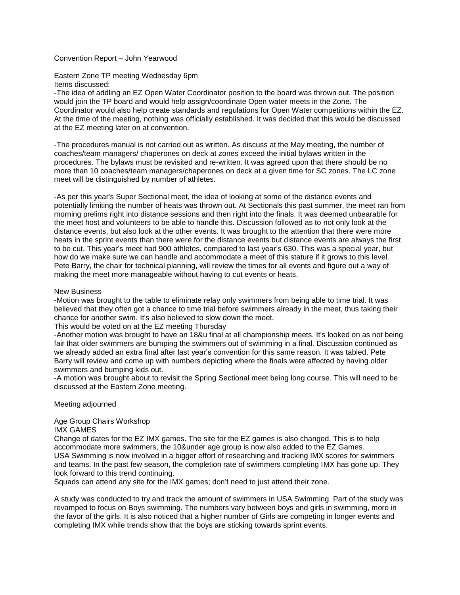## Convention Report – John Yearwood

#### Eastern Zone TP meeting Wednesday 6pm Items discussed:

-The idea of addling an EZ Open Water Coordinator position to the board was thrown out. The position would join the TP board and would help assign/coordinate Open water meets in the Zone. The Coordinator would also help create standards and regulations for Open Water competitions within the EZ. At the time of the meeting, nothing was officially established. It was decided that this would be discussed at the EZ meeting later on at convention.

-The procedures manual is not carried out as written. As discuss at the May meeting, the number of coaches/team managers/ chaperones on deck at zones exceed the initial bylaws written in the procedures. The bylaws must be revisited and re-written. It was agreed upon that there should be no more than 10 coaches/team managers/chaperones on deck at a given time for SC zones. The LC zone meet will be distinguished by number of athletes.

-As per this year's Super Sectional meet, the idea of looking at some of the distance events and potentially limiting the number of heats was thrown out. At Sectionals this past summer, the meet ran from morning prelims right into distance sessions and then right into the finals. It was deemed unbearable for the meet host and volunteers to be able to handle this. Discussion followed as to not only look at the distance events, but also look at the other events. It was brought to the attention that there were more heats in the sprint events than there were for the distance events but distance events are always the first to be cut. This year's meet had 900 athletes, compared to last year's 630. This was a special year, but how do we make sure we can handle and accommodate a meet of this stature if it grows to this level. Pete Barry, the chair for technical planning, will review the times for all events and figure out a way of making the meet more manageable without having to cut events or heats.

## New Business

-Motion was brought to the table to eliminate relay only swimmers from being able to time trial. It was believed that they often got a chance to time trial before swimmers already in the meet, thus taking their chance for another swim. It's also believed to slow down the meet.

This would be voted on at the EZ meeting Thursday

-Another motion was brought to have an 18&u final at all championship meets. It's looked on as not being fair that older swimmers are bumping the swimmers out of swimming in a final. Discussion continued as we already added an extra final after last year's convention for this same reason. It was tabled, Pete Barry will review and come up with numbers depicting where the finals were affected by having older swimmers and bumping kids out.

-A motion was brought about to revisit the Spring Sectional meet being long course. This will need to be discussed at the Eastern Zone meeting.

# Meeting adjourned

# Age Group Chairs Workshop

#### IMX GAMES

Change of dates for the EZ IMX games. The site for the EZ games is also changed. This is to help accommodate more swimmers, the 10&under age group is now also added to the EZ Games. USA Swimming is now involved in a bigger effort of researching and tracking IMX scores for swimmers and teams. In the past few season, the completion rate of swimmers completing IMX has gone up. They look forward to this trend continuing.

Squads can attend any site for the IMX games; don't need to just attend their zone.

A study was conducted to try and track the amount of swimmers in USA Swimming. Part of the study was revamped to focus on Boys swimming. The numbers vary between boys and girls in swimming, more in the favor of the girls. It is also noticed that a higher number of Girls are competing in longer events and completing IMX while trends show that the boys are sticking towards sprint events.